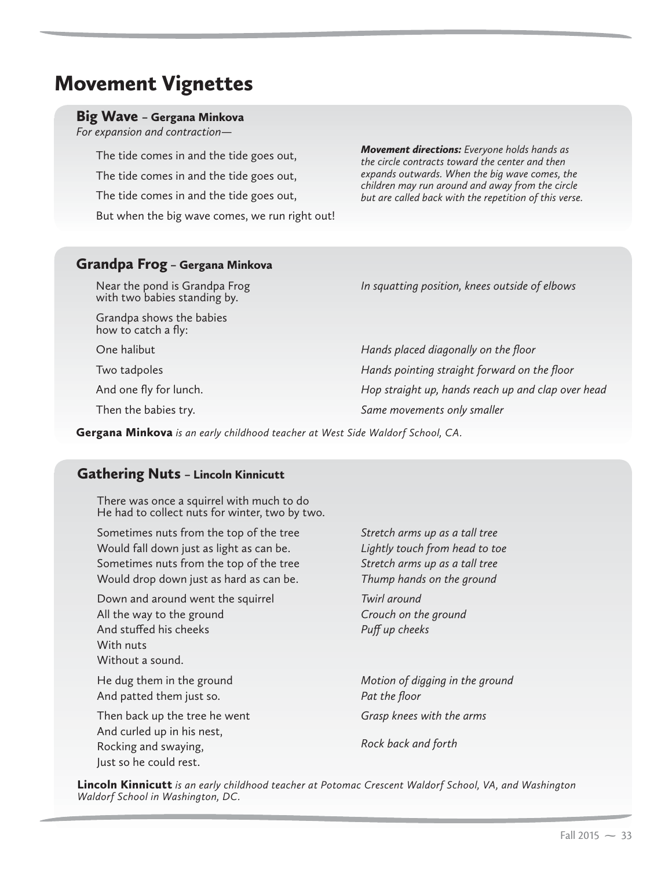# Movement Vignettes

#### Big Wave – Gergana Minkova

*For expansion and contraction—*

The tide comes in and the tide goes out, The tide comes in and the tide goes out, The tide comes in and the tide goes out, But when the big wave comes, we run right out! *Movement directions: Everyone holds hands as the circle contracts toward the center and then expands outwards. When the big wave comes, the children may run around and away from the circle but are called back with the repetition of this verse.*

#### Grandpa Frog – Gergana Minkova

Near the pond is Grandpa Frog with two babies standing by.

Grandpa shows the babies how to catch a fly:

One halibut

Two tadpoles

And one fly for lunch.

Then the babies try.

*In squatting position, knees outside of elbows* 

*Hands placed diagonally on the floor Hands pointing straight forward on the floor Hop straight up, hands reach up and clap over head Same movements only smaller*

Gergana Minkova *is an early childhood teacher at West Side Waldorf School, CA.*

## Gathering Nuts – Lincoln Kinnicutt

There was once a squirrel with much to do He had to collect nuts for winter, two by two.

Sometimes nuts from the top of the tree Would fall down just as light as can be. Sometimes nuts from the top of the tree Would drop down just as hard as can be.

Down and around went the squirrel All the way to the ground And stuffed his cheeks With nuts Without a sound.

He dug them in the ground And patted them just so.

Then back up the tree he went And curled up in his nest, Rocking and swaying, Just so he could rest.

*Stretch arms up as a tall tree Lightly touch from head to toe Stretch arms up as a tall tree Thump hands on the ground*

*Twirl around Crouch on the ground Puff up cheeks* 

*Motion of digging in the ground Pat the floor Grasp knees with the arms Rock back and forth*

Lincoln Kinnicutt *is an early childhood teacher at Potomac Crescent Waldorf School, VA, and Washington Waldorf School in Washington, DC.*